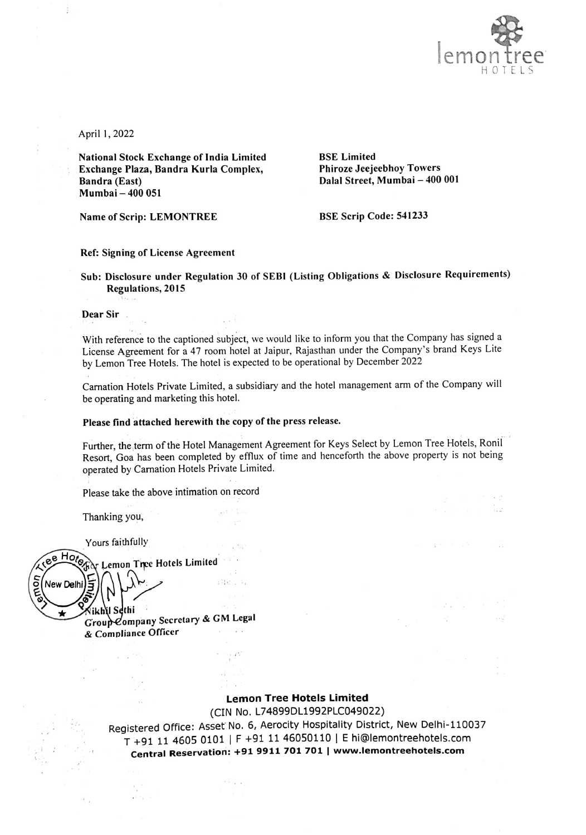

 $\sim$   $\sim$   $\sim$   $\sim$ - n.C

 $\frac{1}{2}$ ,  $\frac{1}{2}$ ,  $\frac{1}{2}$ ,  $\frac{1}{2}$ ,  $\frac{1}{2}$ ,  $\frac{1}{2}$ ,  $\frac{1}{2}$ ,  $\frac{1}{2}$ 

 $\omega = \omega^2, \omega = -\omega, \hspace{20pt} \omega = -\frac{1}{2} \hspace{20pt} \omega = -\frac{1}{2} \hspace{20pt} \omega = \frac{1}{2} \hspace{20pt} \omega$ 

- 2

April 1, 2022

National Stock Exchange of India Limited BSE Limited Exchange Plaza, Bandra Kurla Complex, Phiroze Jeejeebhoy Towers Bandra (East) Dalal Street, Mumbai — 400 001 Mumbai — 400 051

Name of Scrip: LEMONTREE BSE Scrip Code: 541233

#### Ref: Signing of License Agreement

Sub: Disclosure under Regulation 30 of SEBI (Listing Obligations & Disclosure Requirements) Regulations, 2015

#### Dear Sir .

With reference to the captioned subject, we would like to inform you that the Company has signed a License Agreement for a 47 room hotel at Jaipur, Rajasthan under the Company's brand Keys Lite by Lemon Tree Hotels. The hotel is expected to be operational by December 2022

Carnation Hotels Private Limited, a subsidiary and the hotel management arm of the Company will be operating and marketing this hotel.

## Please find attached herewith the copy of the press release.

 $\chi$  (  $^{\rm 2.3}$ 

 $-111$ 

 $e^{\beta}$ the con

 $\mathcal{A}^{\mathcal{A}}_{\mathcal{A}}$  ,  $\mathcal{A}^{\mathcal{A}}_{\mathcal{A}}$ 

 $-1.7.7$ 

Further, the term of the Hotel Management Agreement for Keys Select by Lemon Tree Hotels, Ronil Resort, Goa has been completed by efflux of time and henceforth the above property is not being operated by Carnation Hotels Private Limited.

Please take the above intimation on record

Thanking you,

Yours faithfully

 $\sim$   $^{-1.1\%}$ 

 $\frac{1}{10}$  $\mathbf{z} \in \mathcal{C}_1$  .

ree Hotel  $\lambda_{\Gamma}$  Lemon Tipe Hotels Limited .<br>Z **New Delhi 197**  $\sim$ 

'ikh\yl Sethi Group-Company Sccretary & GM Legal & Compliance Officer

## Lemon Tree Hotels Limited

(CIN No. L74899DL1992PLC049022)

Registered Office: Asset No. 6, Aerocity Hospitality District, New Delhi-110037 T +91 11 4605 0101 | F +91 11 46050110 | E hi@lemontreehotels.com Central Reservation: +91 9911 701 701 | www.lemontreehotels.com